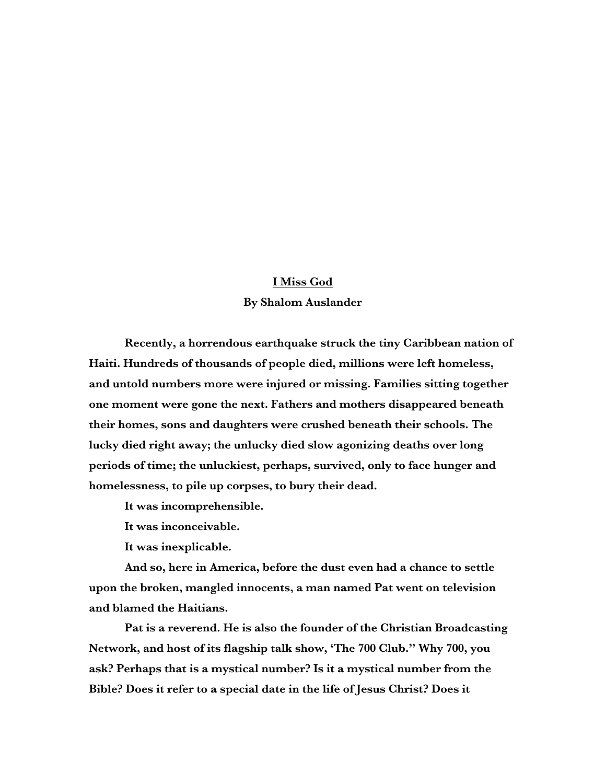## **I Miss God**

## **By Shalom Auslander**

**Recently, a horrendous earthquake struck the tiny Caribbean nation of Haiti. Hundreds of thousands of people died, millions were left homeless, and untold numbers more were injured or missing. Families sitting together one moment were gone the next. Fathers and mothers disappeared beneath their homes, sons and daughters were crushed beneath their schools. The lucky died right away; the unlucky died slow agonizing deaths over long periods of time; the unluckiest, perhaps, survived, only to face hunger and homelessness, to pile up corpses, to bury their dead.** 

**It was incomprehensible.**

**It was inconceivable.**

**It was inexplicable.**

**And so, here in America, before the dust even had a chance to settle upon the broken, mangled innocents, a man named Pat went on television and blamed the Haitians.**

**Pat is a reverend. He is also the founder of the Christian Broadcasting Network, and host of its flagship talk show, 'The 700 Club." Why 700, you ask? Perhaps that is a mystical number? Is it a mystical number from the Bible? Does it refer to a special date in the life of Jesus Christ? Does it**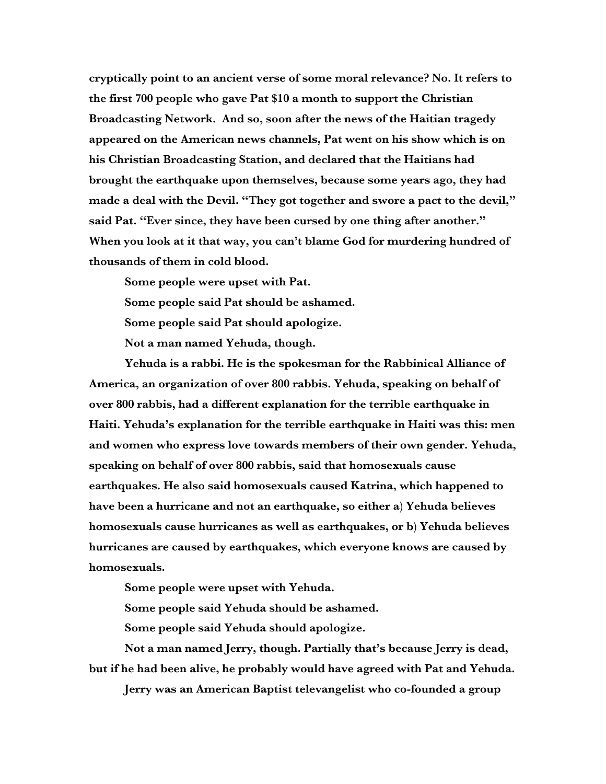**cryptically point to an ancient verse of some moral relevance? No. It refers to the first 700 people who gave Pat \$10 a month to support the Christian Broadcasting Network. And so, soon after the news of the Haitian tragedy appeared on the American news channels, Pat went on his show which is on his Christian Broadcasting Station, and declared that the Haitians had brought the earthquake upon themselves, because some years ago, they had made a deal with the Devil. "They got together and swore a pact to the devil," said Pat. "Ever since, they have been cursed by one thing after another." When you look at it that way, you can't blame God for murdering hundred of thousands of them in cold blood.**

**Some people were upset with Pat.**

**Some people said Pat should be ashamed.** 

**Some people said Pat should apologize.**

**Not a man named Yehuda, though.**

**Yehuda is a rabbi. He is the spokesman for the Rabbinical Alliance of America, an organization of over 800 rabbis. Yehuda, speaking on behalf of over 800 rabbis, had a different explanation for the terrible earthquake in Haiti. Yehuda's explanation for the terrible earthquake in Haiti was this: men and women who express love towards members of their own gender. Yehuda, speaking on behalf of over 800 rabbis, said that homosexuals cause earthquakes. He also said homosexuals caused Katrina, which happened to have been a hurricane and not an earthquake, so either a) Yehuda believes homosexuals cause hurricanes as well as earthquakes, or b) Yehuda believes hurricanes are caused by earthquakes, which everyone knows are caused by homosexuals.**

**Some people were upset with Yehuda.**

**Some people said Yehuda should be ashamed.** 

**Some people said Yehuda should apologize.**

**Not a man named Jerry, though. Partially that's because Jerry is dead, but if he had been alive, he probably would have agreed with Pat and Yehuda.** 

**Jerry was an American Baptist televangelist who co-founded a group**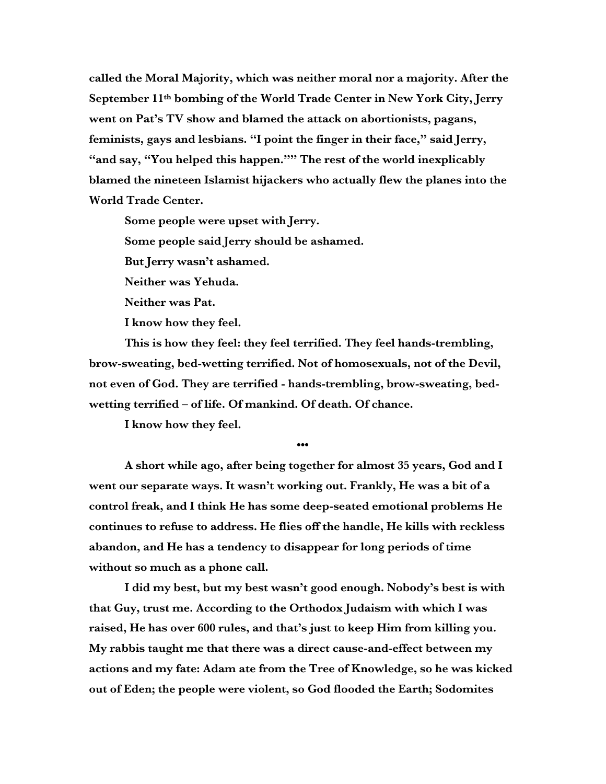**called the Moral Majority, which was neither moral nor a majority. After the September 11th bombing of the World Trade Center in New York City, Jerry went on Pat's TV show and blamed the attack on abortionists, pagans, feminists, gays and lesbians. "I point the finger in their face," said Jerry, "and say, "You helped this happen."" The rest of the world inexplicably blamed the nineteen Islamist hijackers who actually flew the planes into the World Trade Center.**

**Some people were upset with Jerry.**

**Some people said Jerry should be ashamed.** 

**But Jerry wasn't ashamed.** 

**Neither was Yehuda.**

**Neither was Pat.** 

**I know how they feel.**

**This is how they feel: they feel terrified. They feel hands-trembling, brow-sweating, bed-wetting terrified. Not of homosexuals, not of the Devil, not even of God. They are terrified - hands-trembling, brow-sweating, bedwetting terrified – of life. Of mankind. Of death. Of chance.** 

**I know how they feel.**

**•••**

**A short while ago, after being together for almost 35 years, God and I went our separate ways. It wasn't working out. Frankly, He was a bit of a control freak, and I think He has some deep-seated emotional problems He continues to refuse to address. He flies off the handle, He kills with reckless abandon, and He has a tendency to disappear for long periods of time without so much as a phone call.**

**I did my best, but my best wasn't good enough. Nobody's best is with that Guy, trust me. According to the Orthodox Judaism with which I was raised, He has over 600 rules, and that's just to keep Him from killing you. My rabbis taught me that there was a direct cause-and-effect between my actions and my fate: Adam ate from the Tree of Knowledge, so he was kicked out of Eden; the people were violent, so God flooded the Earth; Sodomites**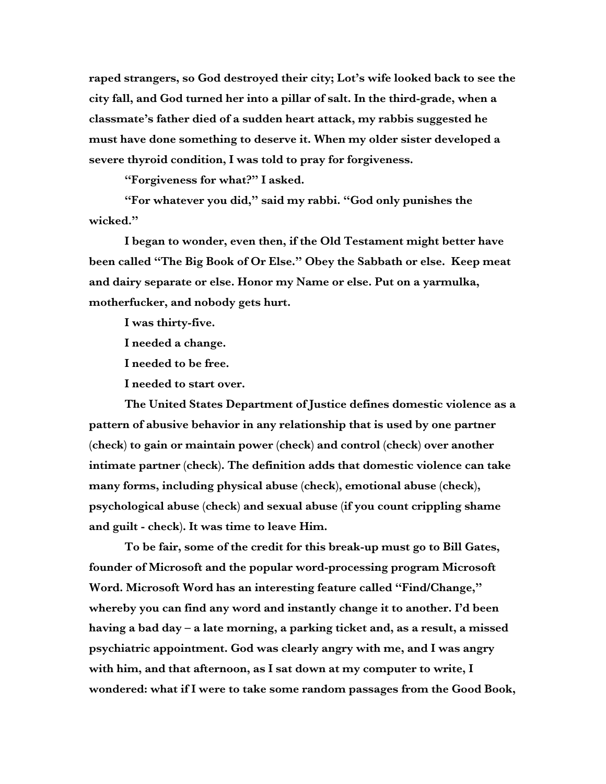**raped strangers, so God destroyed their city; Lot's wife looked back to see the city fall, and God turned her into a pillar of salt. In the third-grade, when a classmate's father died of a sudden heart attack, my rabbis suggested he must have done something to deserve it. When my older sister developed a severe thyroid condition, I was told to pray for forgiveness.**

**"Forgiveness for what?" I asked.**

**"For whatever you did," said my rabbi. "God only punishes the wicked."**

**I began to wonder, even then, if the Old Testament might better have been called "The Big Book of Or Else." Obey the Sabbath or else. Keep meat and dairy separate or else. Honor my Name or else. Put on a yarmulka, motherfucker, and nobody gets hurt.**

**I was thirty-five.**

**I needed a change.**

**I needed to be free.**

**I needed to start over.**

**The United States Department of Justice defines domestic violence as a pattern of abusive behavior in any relationship that is used by one partner (check) to gain or maintain power (check) and control (check) over another intimate partner (check). The definition adds that domestic violence can take many forms, including physical abuse (check), emotional abuse (check), psychological abuse (check) and sexual abuse (if you count crippling shame and guilt - check). It was time to leave Him.**

**To be fair, some of the credit for this break-up must go to Bill Gates, founder of Microsoft and the popular word-processing program Microsoft Word. Microsoft Word has an interesting feature called "Find/Change," whereby you can find any word and instantly change it to another. I'd been having a bad day – a late morning, a parking ticket and, as a result, a missed psychiatric appointment. God was clearly angry with me, and I was angry with him, and that afternoon, as I sat down at my computer to write, I wondered: what if I were to take some random passages from the Good Book,**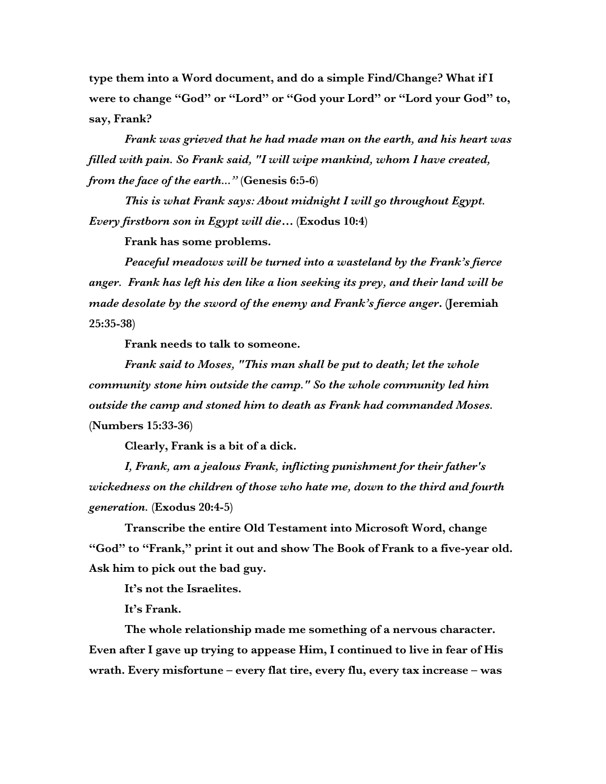**type them into a Word document, and do a simple Find/Change? What if I were to change "God" or "Lord" or "God your Lord" or "Lord your God" to, say, Frank?**

*Frank was grieved that he had made man on the earth, and his heart was filled with pain. So Frank said, "I will wipe mankind, whom I have created, from the face of the earth..."* **(Genesis 6:5-6)**

*This is what Frank says: About midnight I will go throughout Egypt. Every firstborn son in Egypt will die…* **(Exodus 10:4)**

**Frank has some problems.**

*Peaceful meadows will be turned into a wasteland by the Frank's fierce anger. Frank has left his den like a lion seeking its prey, and their land will be made desolate by the sword of the enemy and Frank's fierce anger***. (Jeremiah 25:35-38)**

**Frank needs to talk to someone.**

*Frank said to Moses, "This man shall be put to death; let the whole community stone him outside the camp." So the whole community led him outside the camp and stoned him to death as Frank had commanded Moses.* **(Numbers 15:33-36)**

**Clearly, Frank is a bit of a dick.**

*I, Frank, am a jealous Frank, inflicting punishment for their father's wickedness on the children of those who hate me, down to the third and fourth generation.* **(Exodus 20:4-5)**

**Transcribe the entire Old Testament into Microsoft Word, change "God" to "Frank," print it out and show The Book of Frank to a five-year old. Ask him to pick out the bad guy.**

**It's not the Israelites.**

**It's Frank.**

**The whole relationship made me something of a nervous character. Even after I gave up trying to appease Him, I continued to live in fear of His wrath. Every misfortune – every flat tire, every flu, every tax increase – was**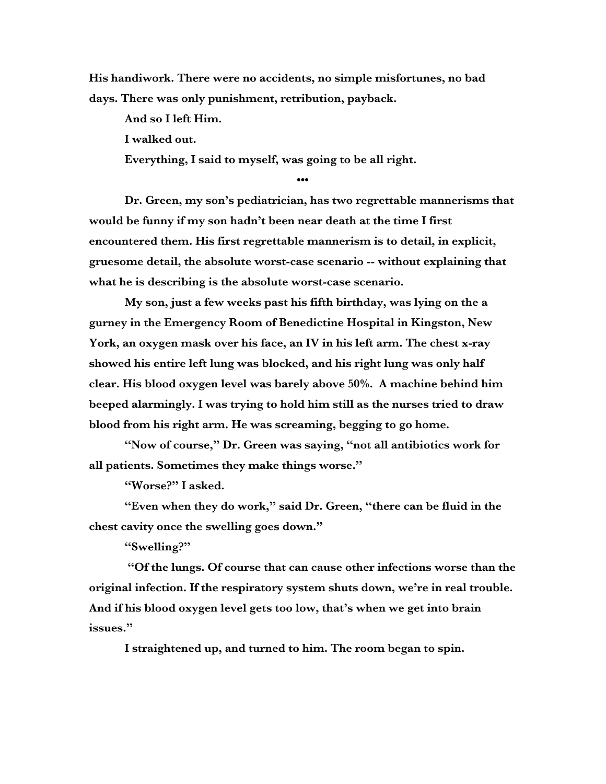**His handiwork. There were no accidents, no simple misfortunes, no bad days. There was only punishment, retribution, payback.**

**And so I left Him.** 

**I walked out.**

**Everything, I said to myself, was going to be all right.**

**•••**

**Dr. Green, my son's pediatrician, has two regrettable mannerisms that would be funny if my son hadn't been near death at the time I first encountered them. His first regrettable mannerism is to detail, in explicit, gruesome detail, the absolute worst-case scenario -- without explaining that what he is describing is the absolute worst-case scenario.** 

**My son, just a few weeks past his fifth birthday, was lying on the a gurney in the Emergency Room of Benedictine Hospital in Kingston, New York, an oxygen mask over his face, an IV in his left arm. The chest x-ray showed his entire left lung was blocked, and his right lung was only half clear. His blood oxygen level was barely above 50%. A machine behind him beeped alarmingly. I was trying to hold him still as the nurses tried to draw blood from his right arm. He was screaming, begging to go home.**

**"Now of course," Dr. Green was saying, "not all antibiotics work for all patients. Sometimes they make things worse."**

**"Worse?" I asked.**

**"Even when they do work," said Dr. Green, "there can be fluid in the chest cavity once the swelling goes down."**

**"Swelling?"**

 **"Of the lungs. Of course that can cause other infections worse than the original infection. If the respiratory system shuts down, we're in real trouble. And if his blood oxygen level gets too low, that's when we get into brain issues."**

**I straightened up, and turned to him. The room began to spin.**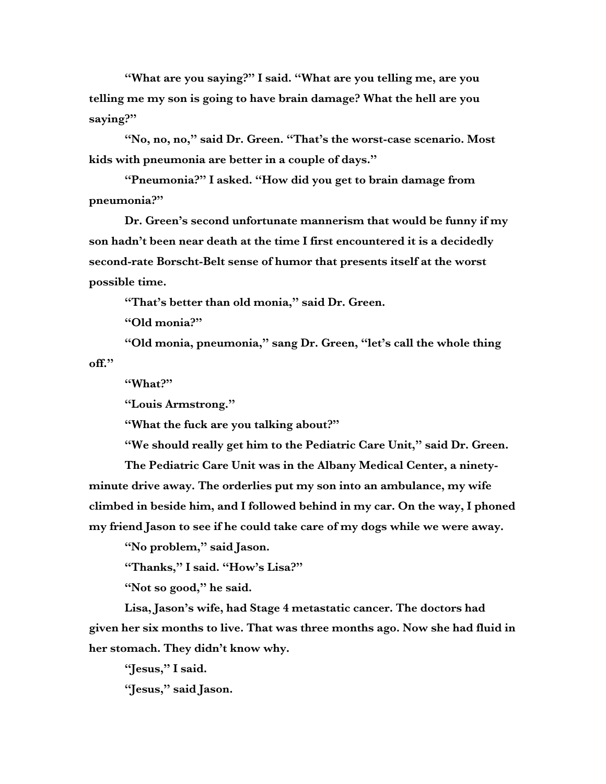**"What are you saying?" I said. "What are you telling me, are you telling me my son is going to have brain damage? What the hell are you saying?"**

**"No, no, no," said Dr. Green. "That's the worst-case scenario. Most kids with pneumonia are better in a couple of days."**

**"Pneumonia?" I asked. "How did you get to brain damage from pneumonia?"**

**Dr. Green's second unfortunate mannerism that would be funny if my son hadn't been near death at the time I first encountered it is a decidedly second-rate Borscht-Belt sense of humor that presents itself at the worst possible time.**

**"That's better than old monia," said Dr. Green.**

**"Old monia?"**

**"Old monia, pneumonia," sang Dr. Green, "let's call the whole thing off."**

**"What?"**

**"Louis Armstrong."**

**"What the fuck are you talking about?"**

**"We should really get him to the Pediatric Care Unit," said Dr. Green.**

**The Pediatric Care Unit was in the Albany Medical Center, a ninetyminute drive away. The orderlies put my son into an ambulance, my wife climbed in beside him, and I followed behind in my car. On the way, I phoned my friend Jason to see if he could take care of my dogs while we were away.**

**"No problem," said Jason.**

**"Thanks," I said. "How's Lisa?"**

**"Not so good," he said.**

**Lisa, Jason's wife, had Stage 4 metastatic cancer. The doctors had given her six months to live. That was three months ago. Now she had fluid in her stomach. They didn't know why.**

**"Jesus," I said.**

**"Jesus," said Jason.**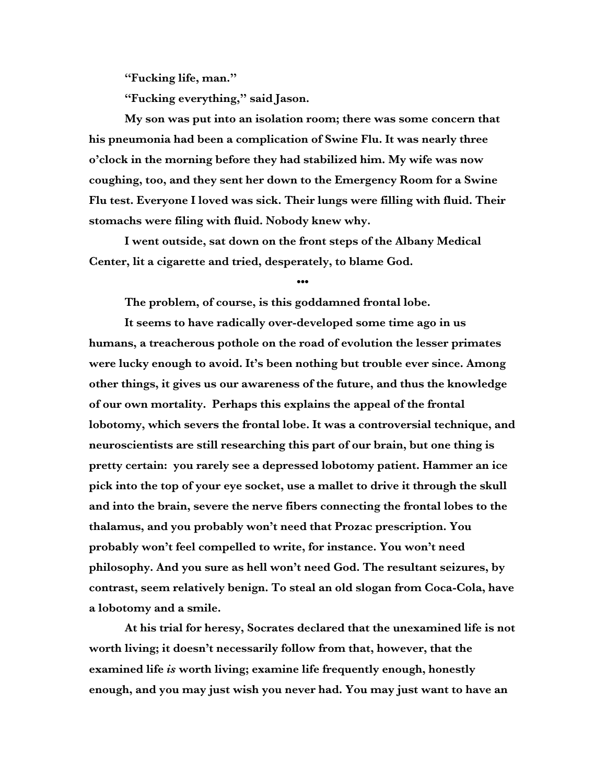**"Fucking life, man."**

**"Fucking everything," said Jason.**

**My son was put into an isolation room; there was some concern that his pneumonia had been a complication of Swine Flu. It was nearly three o'clock in the morning before they had stabilized him. My wife was now coughing, too, and they sent her down to the Emergency Room for a Swine Flu test. Everyone I loved was sick. Their lungs were filling with fluid. Their stomachs were filing with fluid. Nobody knew why.**

**I went outside, sat down on the front steps of the Albany Medical Center, lit a cigarette and tried, desperately, to blame God.** 

**•••**

**The problem, of course, is this goddamned frontal lobe.**

**It seems to have radically over-developed some time ago in us humans, a treacherous pothole on the road of evolution the lesser primates were lucky enough to avoid. It's been nothing but trouble ever since. Among other things, it gives us our awareness of the future, and thus the knowledge of our own mortality. Perhaps this explains the appeal of the frontal lobotomy, which severs the frontal lobe. It was a controversial technique, and neuroscientists are still researching this part of our brain, but one thing is pretty certain: you rarely see a depressed lobotomy patient. Hammer an ice pick into the top of your eye socket, use a mallet to drive it through the skull and into the brain, severe the nerve fibers connecting the frontal lobes to the thalamus, and you probably won't need that Prozac prescription. You probably won't feel compelled to write, for instance. You won't need philosophy. And you sure as hell won't need God. The resultant seizures, by contrast, seem relatively benign. To steal an old slogan from Coca-Cola, have a lobotomy and a smile.**

**At his trial for heresy, Socrates declared that the unexamined life is not worth living; it doesn't necessarily follow from that, however, that the examined life** *is* **worth living; examine life frequently enough, honestly enough, and you may just wish you never had. You may just want to have an**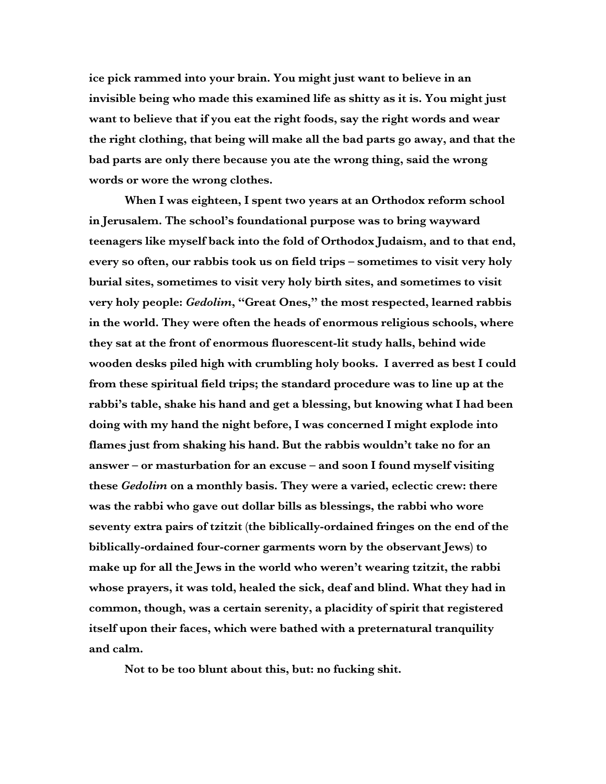**ice pick rammed into your brain. You might just want to believe in an invisible being who made this examined life as shitty as it is. You might just want to believe that if you eat the right foods, say the right words and wear the right clothing, that being will make all the bad parts go away, and that the bad parts are only there because you ate the wrong thing, said the wrong words or wore the wrong clothes.** 

**When I was eighteen, I spent two years at an Orthodox reform school in Jerusalem. The school's foundational purpose was to bring wayward teenagers like myself back into the fold of Orthodox Judaism, and to that end, every so often, our rabbis took us on field trips – sometimes to visit very holy burial sites, sometimes to visit very holy birth sites, and sometimes to visit very holy people:** *Gedolim***, "Great Ones," the most respected, learned rabbis in the world. They were often the heads of enormous religious schools, where they sat at the front of enormous fluorescent-lit study halls, behind wide wooden desks piled high with crumbling holy books. I averred as best I could from these spiritual field trips; the standard procedure was to line up at the rabbi's table, shake his hand and get a blessing, but knowing what I had been doing with my hand the night before, I was concerned I might explode into flames just from shaking his hand. But the rabbis wouldn't take no for an answer – or masturbation for an excuse – and soon I found myself visiting these** *Gedolim* **on a monthly basis. They were a varied, eclectic crew: there was the rabbi who gave out dollar bills as blessings, the rabbi who wore seventy extra pairs of tzitzit (the biblically-ordained fringes on the end of the biblically-ordained four-corner garments worn by the observant Jews) to make up for all the Jews in the world who weren't wearing tzitzit, the rabbi whose prayers, it was told, healed the sick, deaf and blind. What they had in common, though, was a certain serenity, a placidity of spirit that registered itself upon their faces, which were bathed with a preternatural tranquility and calm.**

**Not to be too blunt about this, but: no fucking shit.**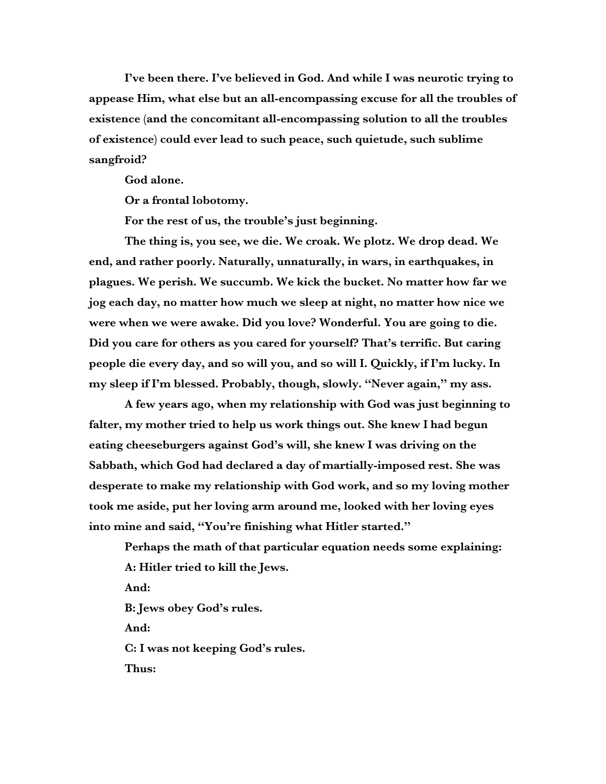**I've been there. I've believed in God. And while I was neurotic trying to appease Him, what else but an all-encompassing excuse for all the troubles of existence (and the concomitant all-encompassing solution to all the troubles of existence) could ever lead to such peace, such quietude, such sublime sangfroid?** 

**God alone.**

**Or a frontal lobotomy.**

**For the rest of us, the trouble's just beginning.** 

**The thing is, you see, we die. We croak. We plotz. We drop dead. We end, and rather poorly. Naturally, unnaturally, in wars, in earthquakes, in plagues. We perish. We succumb. We kick the bucket. No matter how far we jog each day, no matter how much we sleep at night, no matter how nice we were when we were awake. Did you love? Wonderful. You are going to die. Did you care for others as you cared for yourself? That's terrific. But caring people die every day, and so will you, and so will I. Quickly, if I'm lucky. In my sleep if I'm blessed. Probably, though, slowly. "Never again," my ass.** 

**A few years ago, when my relationship with God was just beginning to falter, my mother tried to help us work things out. She knew I had begun eating cheeseburgers against God's will, she knew I was driving on the Sabbath, which God had declared a day of martially-imposed rest. She was desperate to make my relationship with God work, and so my loving mother took me aside, put her loving arm around me, looked with her loving eyes into mine and said, "You're finishing what Hitler started."** 

**Perhaps the math of that particular equation needs some explaining: A: Hitler tried to kill the Jews. And: B: Jews obey God's rules. And: C: I was not keeping God's rules. Thus:**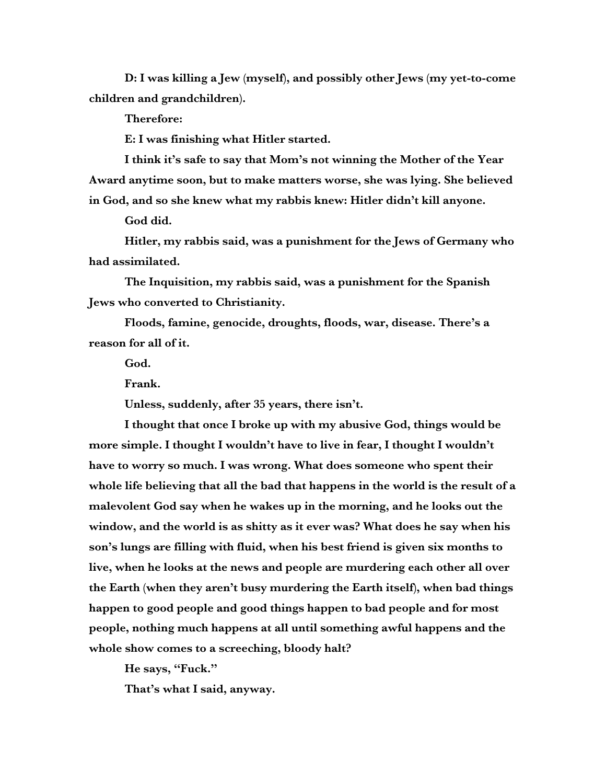**D: I was killing a Jew (myself), and possibly other Jews (my yet-to-come children and grandchildren).**

**Therefore:**

**E: I was finishing what Hitler started.**

**I think it's safe to say that Mom's not winning the Mother of the Year Award anytime soon, but to make matters worse, she was lying. She believed in God, and so she knew what my rabbis knew: Hitler didn't kill anyone.**

**God did.**

**Hitler, my rabbis said, was a punishment for the Jews of Germany who had assimilated.** 

**The Inquisition, my rabbis said, was a punishment for the Spanish Jews who converted to Christianity.**

**Floods, famine, genocide, droughts, floods, war, disease. There's a reason for all of it.**

**God.**

**Frank.**

**Unless, suddenly, after 35 years, there isn't.**

**I thought that once I broke up with my abusive God, things would be more simple. I thought I wouldn't have to live in fear, I thought I wouldn't have to worry so much. I was wrong. What does someone who spent their whole life believing that all the bad that happens in the world is the result of a malevolent God say when he wakes up in the morning, and he looks out the window, and the world is as shitty as it ever was? What does he say when his son's lungs are filling with fluid, when his best friend is given six months to live, when he looks at the news and people are murdering each other all over the Earth (when they aren't busy murdering the Earth itself), when bad things happen to good people and good things happen to bad people and for most people, nothing much happens at all until something awful happens and the whole show comes to a screeching, bloody halt?**

**He says, "Fuck."**

**That's what I said, anyway.**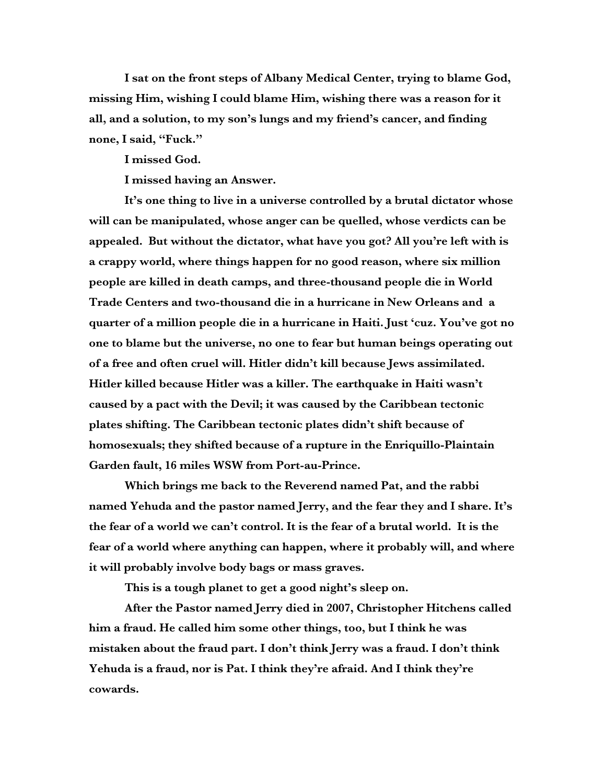**I sat on the front steps of Albany Medical Center, trying to blame God, missing Him, wishing I could blame Him, wishing there was a reason for it all, and a solution, to my son's lungs and my friend's cancer, and finding none, I said, "Fuck."**

**I missed God.**

**I missed having an Answer.**

**It's one thing to live in a universe controlled by a brutal dictator whose will can be manipulated, whose anger can be quelled, whose verdicts can be appealed. But without the dictator, what have you got? All you're left with is a crappy world, where things happen for no good reason, where six million people are killed in death camps, and three-thousand people die in World Trade Centers and two-thousand die in a hurricane in New Orleans and a quarter of a million people die in a hurricane in Haiti. Just 'cuz. You've got no one to blame but the universe, no one to fear but human beings operating out of a free and often cruel will. Hitler didn't kill because Jews assimilated. Hitler killed because Hitler was a killer. The earthquake in Haiti wasn't caused by a pact with the Devil; it was caused by the Caribbean tectonic plates shifting. The Caribbean tectonic plates didn't shift because of homosexuals; they shifted because of a rupture in the Enriquillo-Plaintain Garden fault, 16 miles WSW from Port-au-Prince.**

**Which brings me back to the Reverend named Pat, and the rabbi named Yehuda and the pastor named Jerry, and the fear they and I share. It's the fear of a world we can't control. It is the fear of a brutal world. It is the fear of a world where anything can happen, where it probably will, and where it will probably involve body bags or mass graves.**

**This is a tough planet to get a good night's sleep on.**

**After the Pastor named Jerry died in 2007, Christopher Hitchens called him a fraud. He called him some other things, too, but I think he was mistaken about the fraud part. I don't think Jerry was a fraud. I don't think Yehuda is a fraud, nor is Pat. I think they're afraid. And I think they're cowards.**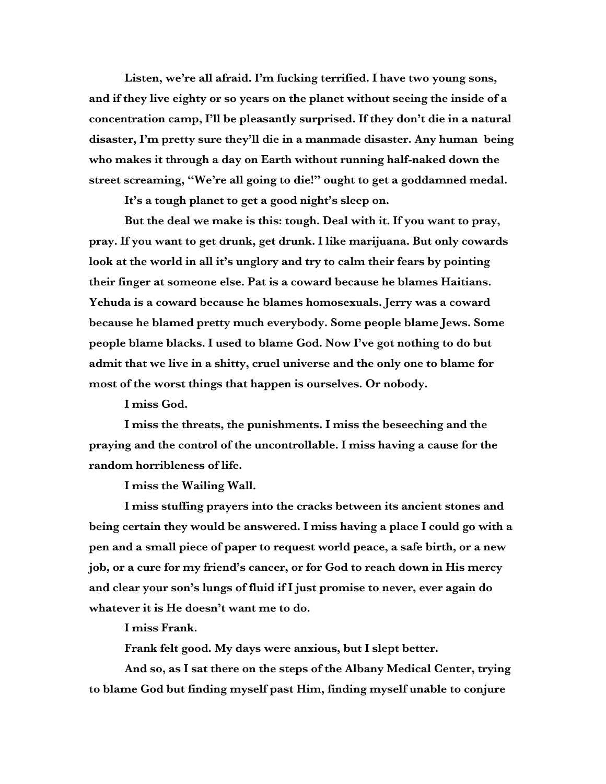**Listen, we're all afraid. I'm fucking terrified. I have two young sons, and if they live eighty or so years on the planet without seeing the inside of a concentration camp, I'll be pleasantly surprised. If they don't die in a natural disaster, I'm pretty sure they'll die in a manmade disaster. Any human being who makes it through a day on Earth without running half-naked down the street screaming, "We're all going to die!" ought to get a goddamned medal.** 

**It's a tough planet to get a good night's sleep on.**

**But the deal we make is this: tough. Deal with it. If you want to pray, pray. If you want to get drunk, get drunk. I like marijuana. But only cowards look at the world in all it's unglory and try to calm their fears by pointing their finger at someone else. Pat is a coward because he blames Haitians. Yehuda is a coward because he blames homosexuals. Jerry was a coward because he blamed pretty much everybody. Some people blame Jews. Some people blame blacks. I used to blame God. Now I've got nothing to do but admit that we live in a shitty, cruel universe and the only one to blame for most of the worst things that happen is ourselves. Or nobody.** 

**I miss God.**

**I miss the threats, the punishments. I miss the beseeching and the praying and the control of the uncontrollable. I miss having a cause for the random horribleness of life.** 

**I miss the Wailing Wall.**

**I miss stuffing prayers into the cracks between its ancient stones and being certain they would be answered. I miss having a place I could go with a pen and a small piece of paper to request world peace, a safe birth, or a new job, or a cure for my friend's cancer, or for God to reach down in His mercy and clear your son's lungs of fluid if I just promise to never, ever again do whatever it is He doesn't want me to do.**

**I miss Frank.**

**Frank felt good. My days were anxious, but I slept better.**

**And so, as I sat there on the steps of the Albany Medical Center, trying to blame God but finding myself past Him, finding myself unable to conjure**